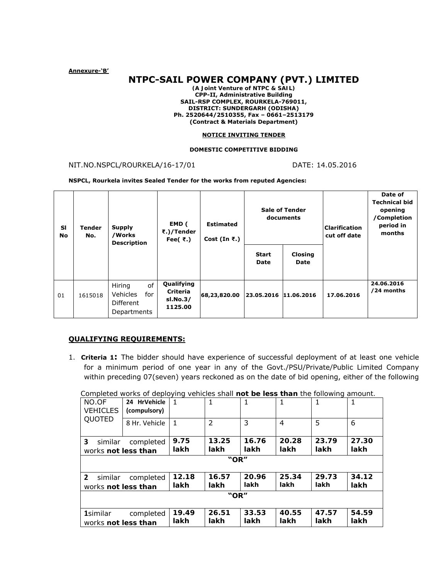**Annexure-'B'** 

# **NTPC-SAIL POWER COMPANY (PVT.) LIMITED**

*(A Joint Venture of NTPC & SAIL)*  **CPP-II, Administrative Building SAIL-RSP COMPLEX, ROURKELA-769011, DISTRICT: SUNDERGARH (ODISHA) Ph. 2520644/2510355, Fax – 0661–2513179 (Contract & Materials Department)** 

#### **NOTICE INVITING TENDER**

#### **DOMESTIC COMPETITIVE BIDDING**

NIT.NO.NSPCL/ROURKELA/16-17/01 DATE: 14.05.2016

**NSPCL, Rourkela invites Sealed Tender for the works from reputed Agencies:** 

| SI<br>No | <b>Tender</b><br>No. | <b>Supply</b><br>/Works<br><b>Description</b>                      | EMD (<br>₹.)/Tender<br>Fee( $\bar{\tau}$ .)   | <b>Estimated</b><br>Cost (In $\bar{\tau}$ .) | <b>Sale of Tender</b><br>documents |                               | <b>Clarification</b><br>cut off date | Date of<br><b>Technical bid</b><br>opening<br>/Completion<br>period in<br>months |
|----------|----------------------|--------------------------------------------------------------------|-----------------------------------------------|----------------------------------------------|------------------------------------|-------------------------------|--------------------------------------|----------------------------------------------------------------------------------|
|          |                      |                                                                    |                                               |                                              | <b>Start</b><br>Date               | <b>Closing</b><br><b>Date</b> |                                      |                                                                                  |
| 01       | 1615018              | of<br>Hiring<br><b>Vehicles</b><br>for<br>Different<br>Departments | Qualifying<br>Criteria<br>sl.No.3/<br>1125.00 | 68,23,820.00                                 | 23.05.2016 11.06.2016              |                               | 17.06.2016                           | 24.06.2016<br>/24 months                                                         |

# **QUALIFYING REQUIREMENTS:**

1. **Criteria 1:** The bidder should have experience of successful deployment of at least one vehicle for a minimum period of one year in any of the Govt./PSU/Private/Public Limited Company within preceding 07(seven) years reckoned as on the date of bid opening, either of the following

| NO.OF<br><b>VEHICLES</b>  | 24 HrVehicle<br>(compulsory) | 1     | 1             |       | 1     | 1     | 1     |  |  |
|---------------------------|------------------------------|-------|---------------|-------|-------|-------|-------|--|--|
| QUOTED                    | 8 Hr. Vehicle                | 1     | $\mathcal{P}$ | 3     | 4     | 5     | 6     |  |  |
| 3<br>similar              | completed                    | 9.75  | 13.25         | 16.76 | 20.28 | 23.79 | 27.30 |  |  |
| works not less than       |                              | lakh  | lakh          | lakh  | lakh  | lakh  | lakh  |  |  |
| "OR"                      |                              |       |               |       |       |       |       |  |  |
| $\overline{2}$<br>similar | completed                    | 12.18 | 16.57         | 20.96 | 25.34 | 29.73 | 34.12 |  |  |
| works not less than       |                              | lakh  | lakh          | lakh  | lakh  | lakh  | lakh  |  |  |
| "OR"                      |                              |       |               |       |       |       |       |  |  |
| <b>1</b> similar          | completed                    | 19.49 | 26.51         | 33.53 | 40.55 | 47.57 | 54.59 |  |  |
| works not less than       |                              | lakh  | lakh          | lakh  | lakh  | lakh  | lakh  |  |  |

 *Completed works of deploying vehicles shall not be less than the following amount.*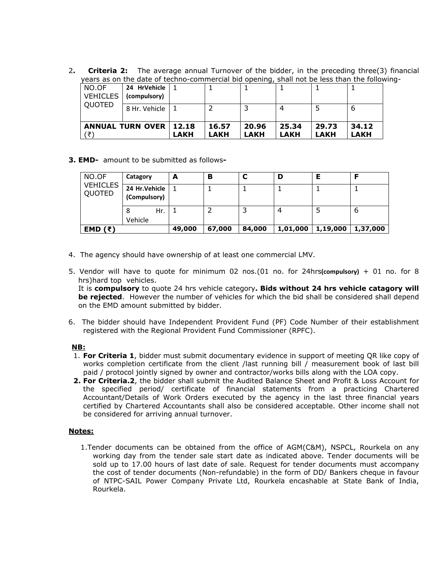2**. Criteria 2:** The average annual Turnover of the bidder, in the preceding three(3) financial years as on the date of techno-commercial bid opening, shall not be less than the following-

| '₹                       |                              | LAKH  | <b>LAKH</b> | LAKH  | LAKH  | <b>LAKH</b> | LAKH  |
|--------------------------|------------------------------|-------|-------------|-------|-------|-------------|-------|
| <b>ANNUAL TURN OVER</b>  |                              | 12.18 | 16.57       | 20.96 | 25.34 | 29.73       | 34.12 |
| QUOTED                   | 8 Hr. Vehicle                |       |             |       |       |             | b     |
| NO.OF<br><b>VEHICLES</b> | 24 HrVehicle<br>(compulsory) |       |             |       |       |             |       |

# **3. EMD-** amount to be submitted as follows**-**

| NO.OF                     | Catagory                       | A      | в      |        | D        |          |          |
|---------------------------|--------------------------------|--------|--------|--------|----------|----------|----------|
| <b>VEHICLES</b><br>QUOTED | 24 Hr. Vehicle<br>(Compulsory) |        |        |        |          |          |          |
|                           | Hr.<br>8<br>Vehicle            |        |        |        |          |          | 6        |
| EMD $(\bar{x})$           |                                | 49,000 | 67,000 | 84,000 | 1,01,000 | 1,19,000 | 1,37,000 |

- 4. The agency should have ownership of at least one commercial LMV.
- 5. Vendor will have to quote for minimum 02 nos.(01 no. for 24hrs**(compulsory)** + 01 no. for 8 hrs)hard top vehicles.

It is **compulsory** to quote 24 hrs vehicle category**. Bids without 24 hrs vehicle catagory will be rejected**. However the number of vehicles for which the bid shall be considered shall depend on the EMD amount submitted by bidder.

6. The bidder should have Independent Provident Fund (PF) Code Number of their establishment registered with the Regional Provident Fund Commissioner (RPFC).

# *NB:*

- 1. **For Criteria 1**, bidder must submit documentary evidence in support of meeting QR like copy of works completion certificate from the client /last running bill / measurement book of last bill paid / protocol jointly signed by owner and contractor/works bills along with the LOA copy.
- **2. For Criteria.2**, the bidder shall submit the Audited Balance Sheet and Profit & Loss Account for the specified period/ certificate of financial statements from a practicing Chartered Accountant/Details of Work Orders executed by the agency in the last three financial years certified by Chartered Accountants shall also be considered acceptable. Other income shall not be considered for arriving annual turnover.

# **Notes:**

 1.Tender documents can be obtained from the office of AGM(C&M), NSPCL, Rourkela on any working day from the tender sale start date as indicated above. Tender documents will be sold up to 17.00 hours of last date of sale. Request for tender documents must accompany the cost of tender documents (Non-refundable) in the form of DD/ Bankers cheque in favour of NTPC-SAIL Power Company Private Ltd, Rourkela encashable at State Bank of India, Rourkela.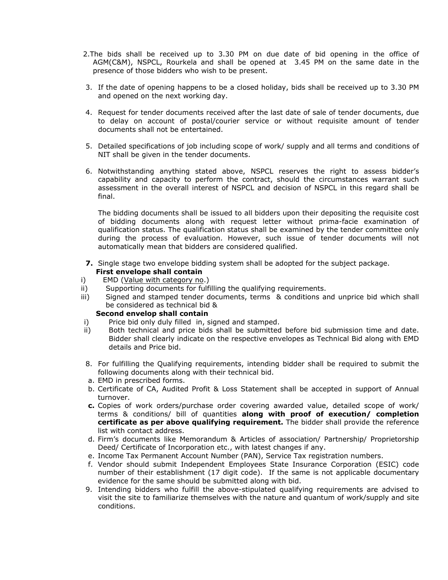- 2.The bids shall be received up to 3.30 PM on due date of bid opening in the office of AGM(C&M), NSPCL, Rourkela and shall be opened at 3.45 PM on the same date in the presence of those bidders who wish to be present.
- 3. If the date of opening happens to be a closed holiday, bids shall be received up to 3.30 PM and opened on the next working day.
- 4. Request for tender documents received after the last date of sale of tender documents, due to delay on account of postal/courier service or without requisite amount of tender documents shall not be entertained.
- 5. Detailed specifications of job including scope of work/ supply and all terms and conditions of NIT shall be given in the tender documents.
- 6. Notwithstanding anything stated above, NSPCL reserves the right to assess bidder's capability and capacity to perform the contract, should the circumstances warrant such assessment in the overall interest of NSPCL and decision of NSPCL in this regard shall be final.

The bidding documents shall be issued to all bidders upon their depositing the requisite cost of bidding documents along with request letter without prima-facie examination of qualification status. The qualification status shall be examined by the tender committee only during the process of evaluation. However, such issue of tender documents will not automatically mean that bidders are considered qualified.

- **7.** Single stage two envelope bidding system shall be adopted for the subject package. **First envelope shall contain**
- i) EMD (Value with category no.)
- ii) Supporting documents for fulfilling the qualifying requirements.
- iii) Signed and stamped tender documents, terms & conditions and unprice bid which shall be considered as technical bid &

# **Second envelop shall contain**

- i) Price bid only duly filled in, signed and stamped.
- ii) Both technical and price bids shall be submitted before bid submission time and date. Bidder shall clearly indicate on the respective envelopes as Technical Bid along with EMD details and Price bid.
- 8. For fulfilling the Qualifying requirements, intending bidder shall be required to submit the following documents along with their technical bid.
- a. EMD in prescribed forms.
- b. Certificate of CA, Audited Profit & Loss Statement shall be accepted in support of Annual turnover.
- **c.** Copies of work orders/purchase order covering awarded value, detailed scope of work/ terms & conditions/ bill of quantities **along with proof of execution/ completion certificate as per above qualifying requirement.** The bidder shall provide the reference list with contact address.
- d. Firm's documents like Memorandum & Articles of association/ Partnership/ Proprietorship Deed/ Certificate of Incorporation etc., with latest changes if any.
- e. Income Tax Permanent Account Number (PAN), Service Tax registration numbers.
- f. Vendor should submit Independent Employees State Insurance Corporation (ESIC) code number of their establishment (17 digit code). If the same is not applicable documentary evidence for the same should be submitted along with bid.
- 9. Intending bidders who fulfill the above-stipulated qualifying requirements are advised to visit the site to familiarize themselves with the nature and quantum of work/supply and site conditions.